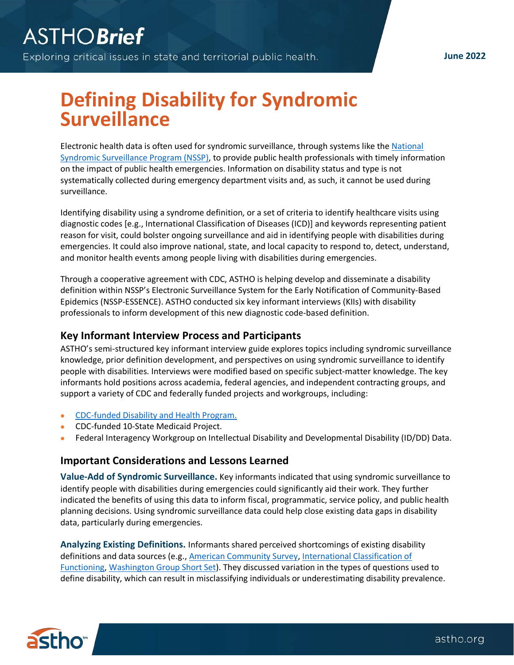## **Defining Disability for Syndromic Surveillance**

Electronic health data is often used for syndromic surveillance, through systems like the [National](https://www.cdc.gov/nssp/index.html)  [Syndromic Surveillance Program \(NSSP\),](https://www.cdc.gov/nssp/index.html) to provide public health professionals with timely information on the impact of public health emergencies. Information on disability status and type is not systematically collected during emergency department visits and, as such, it cannot be used during surveillance.

Identifying disability using a syndrome definition, or a set of criteria to identify healthcare visits using diagnostic codes [e.g., International Classification of Diseases (ICD)] and keywords representing patient reason for visit, could bolster ongoing surveillance and aid in identifying people with disabilities during emergencies. It could also improve national, state, and local capacity to respond to, detect, understand, and monitor health events among people living with disabilities during emergencies.

Through a cooperative agreement with CDC, ASTHO is helping develop and disseminate a disability definition within NSSP's Electronic Surveillance System for the Early Notification of Community-Based Epidemics (NSSP-ESSENCE). ASTHO conducted six key informant interviews (KIIs) with disability professionals to inform development of this new diagnostic code-based definition.

## **Key Informant Interview Process and Participants**

ASTHO's semi-structured key informant interview guide explores topics including syndromic surveillance knowledge, prior definition development, and perspectives on using syndromic surveillance to identify people with disabilities. Interviews were modified based on specific subject-matter knowledge. The key informants hold positions across academia, federal agencies, and independent contracting groups, and support a variety of CDC and federally funded projects and workgroups, including:

- [CDC-funded Disability and Health Program.](https://www.cdc.gov/ncbddd/disabilityandhealth/programs.html)
- CDC-funded 10-State Medicaid Project.
- Federal Interagency Workgroup on Intellectual Disability and Developmental Disability (ID/DD) Data.

## **Important Considerations and Lessons Learned**

**Value-Add of Syndromic Surveillance.** Key informants indicated that using syndromic surveillance to identify people with disabilities during emergencies could significantly aid their work. They further indicated the benefits of using this data to inform fiscal, programmatic, service policy, and public health planning decisions. Using syndromic surveillance data could help close existing data gaps in disability data, particularly during emergencies.

**Analyzing Existing Definitions.** Informants shared perceived shortcomings of existing disability definitions and data sources (e.g., [American Community Survey,](https://www.census.gov/topics/health/disability/guidance/data-collection-acs.html) [International Classification of](https://www.who.int/standards/classifications/international-classification-of-functioning-disability-and-health)  [Functioning,](https://www.who.int/standards/classifications/international-classification-of-functioning-disability-and-health) [Washington Group Short Set\)](https://www.washingtongroup-disability.com/question-sets/wg-short-set-on-functioning-wg-ss/). They discussed variation in the types of questions used to define disability, which can result in misclassifying individuals or underestimating disability prevalence.